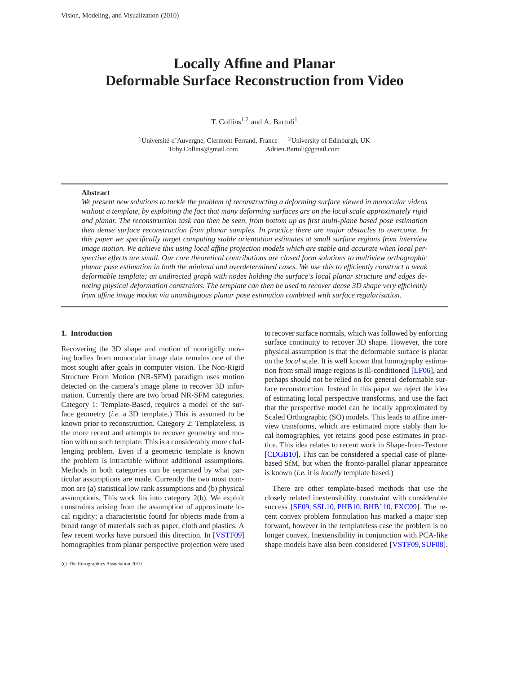# <span id="page-0-0"></span>**Locally Affine and Planar Deformable Surface Reconstruction from Video**

T. Collins<sup>1,2</sup> and A. Bartoli<sup>1</sup>

<sup>1</sup>Université d'Auvergne, Clermont-Ferrand, France <sup>2</sup>University of Edinburgh, UK Toby.Collins@gmail.com Adrien.Bartoli@gmail.com

#### **Abstract**

*We present new solutions to tackle the problem of reconstructing a deforming surface viewed in monocular videos without a template, by exploiting the fact that many deforming surfaces are on the local scale approximately rigid and planar. The reconstruction task can then be seen, from bottom up as first multi-plane based pose estimation then dense surface reconstruction from planar samples. In practice there are major obstacles to overcome. In this paper we specifically target computing stable orientation estimates at small surface regions from interview image motion. We achieve this using local affine projection models which are stable and accurate when local perspective effects are small. Our core theoretical contributions are closed form solutions to multiview orthographic planar pose estimation in both the minimal and overdetermined cases. We use this to efficiently construct a weak deformable template; an undirected graph with nodes holding the surface's local planar structure and edges denoting physical deformation constraints. The template can then be used to recover dense 3D shape very efficiently from affine image motion via unambiguous planar pose estimation combined with surface regularisation.*

## **1. Introduction**

Recovering the 3D shape and motion of nonrigidly moving bodies from monocular image data remains one of the most sought after goals in computer vision. The Non-Rigid Structure From Motion (NR-SFM) paradigm uses motion detected on the camera's image plane to recover 3D information. Currently there are two broad NR-SFM categories. Category 1: Template-Based, requires a model of the surface geometry (*i.e.* a 3D template.) This is assumed to be known prior to reconstruction. Category 2: Templateless, is the more recent and attempts to recover geometry and motion with no such template. This is a considerably more challenging problem. Even if a geometric template is known the problem is intractable without additional assumptions. Methods in both categories can be separated by what particular assumptions are made. Currently the two most common are (a) statistical low rank assumptions and (b) physical assumptions. This work fits into category 2(b). We exploit constraints arising from the assumption of approximate local rigidity; a characteristic found for objects made from a broad range of materials such as paper, cloth and plastics. A few recent works have pursued this direction. In [\[VSTF09\]](#page-7-0) homographies from planar perspective projection were used to recover surface normals, which was followed by enforcing surface continuity to recover 3D shape. However, the core physical assumption is that the deformable surface is planar on the *local* scale. It is well known that homography estimation from small image regions is ill-conditioned [\[LF06\]](#page-7-1), and perhaps should not be relied on for general deformable surface reconstruction. Instead in this paper we reject the idea of estimating local perspective transforms, and use the fact that the perspective model can be locally approximated by Scaled Orthographic (SO) models. This leads to affine interview transforms, which are estimated more stably than local homographies, yet retains good pose estimates in practice. This idea relates to recent work in Shape-from-Texture [\[CDGB10\]](#page-7-2). This can be considered a special case of planebased SfM, but when the fronto-parallel planar appearance is known (*i.e.* it is *locally* template based.)

There are other template-based methods that use the closely related inextensibility constraint with considerable success [\[SF09,](#page-7-3) [SSL10,](#page-7-4) [PHB10,](#page-7-5) [BHB](#page-6-0)<sup>∗</sup>10, [FXC09\]](#page-7-6). The recent convex problem formulation has marked a major step forward, however in the templateless case the problem is no longer convex. Inextensibility in conjunction with PCA-like shape models have also been considered [\[VSTF09,](#page-7-0) [SUF08\]](#page-7-7).

c The Eurographics Association 2010.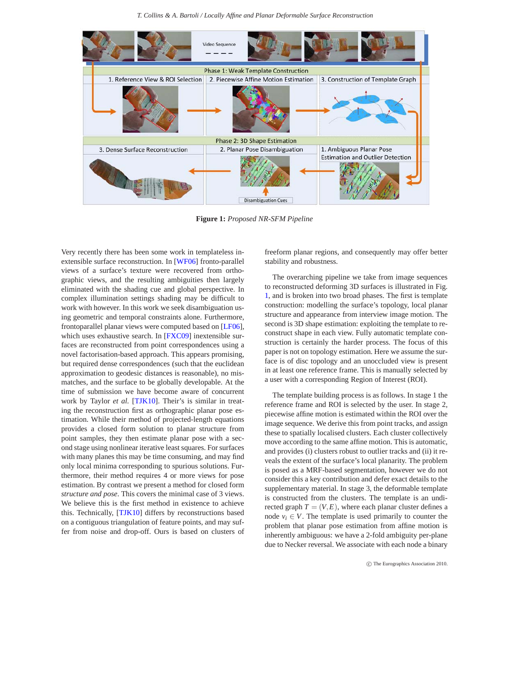*T. Collins & A. Bartoli / Locally Affine and Planar Deformable Surface Reconstruction*

<span id="page-1-1"></span>

<span id="page-1-0"></span>**Figure 1:** *Proposed NR-SFM Pipeline*

Very recently there has been some work in templateless inextensible surface reconstruction. In [\[WF06\]](#page-7-8) fronto-parallel views of a surface's texture were recovered from orthographic views, and the resulting ambiguities then largely eliminated with the shading cue and global perspective. In complex illumination settings shading may be difficult to work with however. In this work we seek disambiguation using geometric and temporal constraints alone. Furthermore, frontoparallel planar views were computed based on [\[LF06\]](#page-7-1), which uses exhaustive search. In [\[FXC09\]](#page-7-6) inextensible surfaces are reconstructed from point correspondences using a novel factorisation-based approach. This appears promising, but required dense correspondences (such that the euclidean approximation to geodesic distances is reasonable), no mismatches, and the surface to be globally developable. At the time of submission we have become aware of concurrent work by Taylor *et al.* [\[TJK10\]](#page-7-9). Their's is similar in treating the reconstruction first as orthographic planar pose estimation. While their method of projected-length equations provides a closed form solution to planar structure from point samples, they then estimate planar pose with a second stage using nonlinear iterative least squares. For surfaces with many planes this may be time consuming, and may find only local minima corresponding to spurious solutions. Furthermore, their method requires 4 or more views for pose estimation. By contrast we present a method for closed form *structure and pose*. This covers the minimal case of 3 views. We believe this is the first method in existence to achieve this. Technically, [\[TJK10\]](#page-7-9) differs by reconstructions based on a contiguous triangulation of feature points, and may suffer from noise and drop-off. Ours is based on clusters of

freeform planar regions, and consequently may offer better stability and robustness.

The overarching pipeline we take from image sequences to reconstructed deforming 3D surfaces is illustrated in Fig. [1,](#page-1-0) and is broken into two broad phases. The first is template construction: modelling the surface's topology, local planar structure and appearance from interview image motion. The second is 3D shape estimation: exploiting the template to reconstruct shape in each view. Fully automatic template construction is certainly the harder process. The focus of this paper is not on topology estimation. Here we assume the surface is of disc topology and an unoccluded view is present in at least one reference frame. This is manually selected by a user with a corresponding Region of Interest (ROI).

The template building process is as follows. In stage 1 the reference frame and ROI is selected by the user. In stage 2, piecewise affine motion is estimated within the ROI over the image sequence. We derive this from point tracks, and assign these to spatially localised clusters. Each cluster collectively move according to the same affine motion. This is automatic, and provides (i) clusters robust to outlier tracks and (ii) it reveals the extent of the surface's local planarity. The problem is posed as a MRF-based segmentation, however we do not consider this a key contribution and defer exact details to the supplementary material. In stage 3, the deformable template is constructed from the clusters. The template is an undirected graph  $T = (V, E)$ , where each planar cluster defines a node  $v_i \in V$ . The template is used primarily to counter the problem that planar pose estimation from affine motion is inherently ambiguous: we have a 2-fold ambiguity per-plane due to Necker reversal. We associate with each node a binary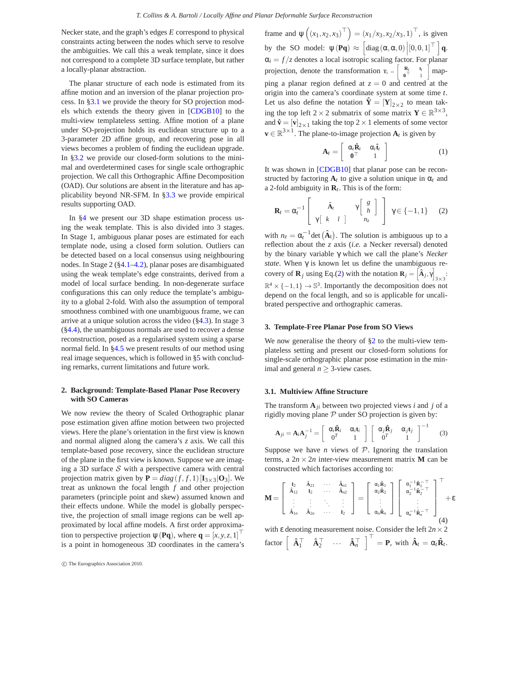<span id="page-2-3"></span>Necker state, and the graph's edges *E* correspond to physical constraints acting between the nodes which serve to resolve the ambiguities. We call this a weak template, since it does not correspond to a complete 3D surface template, but rather a locally-planar abstraction.

The planar structure of each node is estimated from its affine motion and an inversion of the planar projection process. In [§3.1](#page-2-0) we provide the theory for SO projection models which extends the theory given in [\[CDGB10\]](#page-7-2) to the multi-view templateless setting. Affine motion of a plane under SO-projection holds its euclidean structure up to a 3-parameter 2D affine group, and recovering pose in all views becomes a problem of finding the euclidean upgrade. In [§3.2](#page-3-0) we provide our closed-form solutions to the minimal and overdetermined cases for single scale orthographic projection. We call this Orthographic Affine Decomposition (OAD). Our solutions are absent in the literature and has applicability beyond NR-SFM. In [§3.3](#page-4-0) we provide empirical results supporting OAD.

In [§4](#page-4-1) we present our 3D shape estimation process using the weak template. This is also divided into 3 stages. In Stage 1, ambiguous planar poses are estimated for each template node, using a closed form solution. Outliers can be detected based on a local consensus using neighbouring nodes. In Stage 2 ([§4.1–](#page-4-2)[4.2\)](#page-5-0), planar poses are disambiguated using the weak template's edge constraints, derived from a model of local surface bending. In non-degenerate surface configurations this can only reduce the template's ambiguity to a global 2-fold. With also the assumption of temporal smoothness combined with one unambiguous frame, we can arrive at a unique solution across the video  $(\frac{84.3}{1.5})$ . In stage 3 ([§4.4\)](#page-6-1), the unambiguous normals are used to recover a dense reconstruction, posed as a regularised system using a sparse normal field. In [§4.5](#page-6-2) we present results of our method using real image sequences, which is followed in [§5](#page-6-3) with concluding remarks, current limitations and future work.

# <span id="page-2-2"></span>**2. Background: Template-Based Planar Pose Recovery with SO Cameras**

We now review the theory of Scaled Orthographic planar pose estimation given affine motion between two projected views. Here the plane's orientation in the first view is known and normal aligned along the camera's *z* axis. We call this template-based pose recovery, since the euclidean structure of the plane in the first view is known. Suppose we are imaging a 3D surface  $S$  with a perspective camera with central projection matrix given by  $P = diag(f, f, 1)[I_{3 \times 3} | O_3]$ . We treat as unknown the focal length *f* and other projection parameters (principle point and skew) assumed known and their effects undone. While the model is globally perspective, the projection of small image regions can be well approximated by local affine models. A first order approximation to perspective projection  $\psi(\mathbf{Pq})$ , where  $\mathbf{q} = [x, y, z, 1]^\top$ is a point in homogeneous 3D coordinates in the camera's

frame and  $\psi((x_1, x_2, x_3)^{\top}) = (x_1/x_3, x_2/x_3, 1)^{\top}$ , is given by the SO model:  $\psi(\mathbf{Pq}) \approx \left[\text{diag}(\alpha, \alpha, 0) \middle| [0, 0, 1]^\top \right] \mathbf{q}.$  $\alpha_i = f/z$  denotes a local isotropic scaling factor. For planar projection, denote the transformation  $\mathbf{r}_t = \begin{bmatrix} \mathbf{R}_t & \mathbf{t}_t \\ \mathbf{0}^\top & 1 \end{bmatrix}$ mapping a planar region defined at  $z = 0$  and centred at the origin into the camera's coordinate system at some time *t*. Let us also define the notation  $\hat{\mathbf{Y}} = [\mathbf{Y}]_{2\times 2}$  to mean taking the top left  $2 \times 2$  submatrix of some matrix  $Y \in \mathbb{R}^{3 \times 3}$ , and  $\mathbf{\hat{v}} = [\mathbf{v}]_{2\times1}$  taking the top 2 × 1 elements of some vector  $\mathbf{v} \in \mathbb{R}^{3 \times 1}$ . The plane-to-image projection  $\mathbf{A}_t$  is given by

$$
\mathbf{A}_t = \left[ \begin{array}{cc} \alpha_t \hat{\mathbf{R}}_t & \alpha_t \hat{\mathbf{t}}_t \\ \mathbf{0}^\top & 1 \end{array} \right] \tag{1}
$$

It was shown in [\[CDGB10\]](#page-7-2) that planar pose can be reconstructed by factoring  $A_t$  to give a solution unique in  $\alpha_t$  and a 2-fold ambiguity in **R***t*. This is of the form:

<span id="page-2-1"></span>
$$
\mathbf{R}_{t} = \alpha_{t}^{-1} \begin{bmatrix} \hat{\mathbf{A}}_{t} & \gamma \begin{bmatrix} g \\ h \end{bmatrix} \ \gamma \begin{bmatrix} \gamma g \\ h \end{bmatrix} \ \gamma \in \{-1, 1\} \tag{2}
$$

with  $n_z = \alpha_t^{-1} \det (\hat{A}_t)$ . The solution is ambiguous up to a reflection about the *z* axis (*i.e.* a Necker reversal) denoted by the binary variable γ which we call the plane's *Necker state*. When γ is known let us define the unambiguous recovery of **R**<sub>*j*</sub> using Eq.[\(2\)](#page-2-1) with the notation **R**<sub>*j*</sub> =  $\left[\hat{\mathbf{A}}_j, \gamma\right]$  $\frac{1}{3\times3}$  $\mathbb{R}^4 \times \{-1,1\} \to \mathbb{S}^3$ . Importantly the decomposition does not depend on the focal length, and so is applicable for uncalibrated perspective and orthographic cameras.

#### **3. Template-Free Planar Pose from SO Views**

We now generalise the theory of  $\S2$  to the multi-view templateless setting and present our closed-form solutions for single-scale orthographic planar pose estimation in the minimal and general  $n \geq 3$ -view cases.

# <span id="page-2-0"></span>**3.1. Multiview Affine Structure**

The transform  $A_{ji}$  between two projected views *i* and *j* of a rigidly moving plane  $P$  under SO projection is given by:

$$
\mathbf{A}_{ji} = \mathbf{A}_i \mathbf{A}_j^{-1} = \begin{bmatrix} \alpha_i \hat{\mathbf{R}}_i & \alpha_i \mathbf{t}_i \\ 0^T & 1 \end{bmatrix} \begin{bmatrix} \alpha_j \hat{\mathbf{R}}_j & \alpha_j \mathbf{t}_j \\ 0^T & 1 \end{bmatrix}^{-1}
$$
(3)

Suppose we have *n* views of  $P$ . Ignoring the translation terms, a  $2n \times 2n$  inter-view measurement matrix **M** can be constructed which factorises according to:

$$
\mathbf{M} = \left[\begin{array}{cccc} \mathbf{I}_2 & \hat{\mathbf{A}}_{21} & \cdots & \hat{\mathbf{A}}_{n1} \\ \hat{\mathbf{A}}_{12} & \mathbf{I}_2 & \cdots & \hat{\mathbf{A}}_{n2} \\ \vdots & \vdots & \ddots & \vdots \\ \hat{\mathbf{A}}_{1n} & \hat{\mathbf{A}}_{2n} & \cdots & \mathbf{I}_2 \end{array}\right] = \left[\begin{array}{c} \alpha_1 \hat{\mathbf{R}}_1 \\ \alpha_2 \hat{\mathbf{R}}_2 \\ \vdots \\ \alpha_n \hat{\mathbf{R}}_n \end{array}\right] \left[\begin{array}{c} \alpha_1^{-1} \hat{\mathbf{R}}_1^{-\top} \\ \alpha_2^{-1} \hat{\mathbf{R}}_2^{-\top} \\ \vdots \\ \alpha_n^{-1} \hat{\mathbf{R}}_n^{-\top} \end{array}\right]^{-\top} + \epsilon
$$

with  $\varepsilon$  denoting measurement noise. Consider the left  $2n \times 2$  $\mathbf{f}_1^{\mathsf{T}} \mathbf{f}_1 \mathbf{f}_2^{\mathsf{T}} \cdots \mathbf{f}_{n}^{\mathsf{T}} \mathbf{f}_n^{\mathsf{T}} = \mathbf{P}, \text{ with } \hat{\mathbf{A}}_t = \alpha_t \hat{\mathbf{R}}_t.$ 

c The Eurographics Association 2010.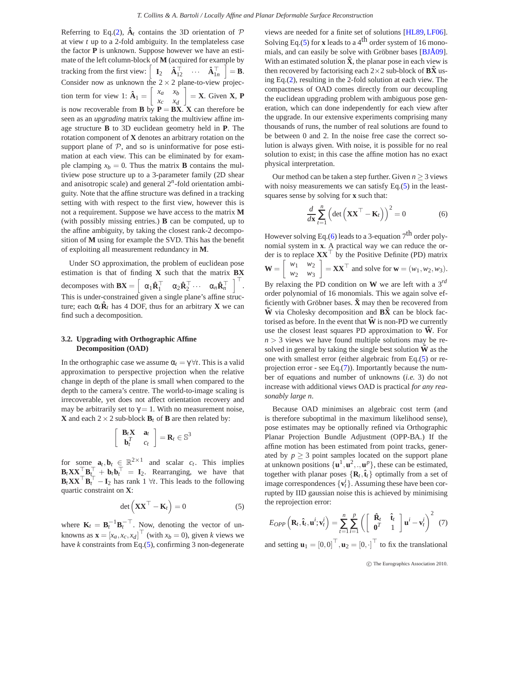<span id="page-3-4"></span>Referring to Eq.[\(2\)](#page-2-1),  $\hat{A}_t$  contains the 3D orientation of  $P$ at view *t* up to a 2-fold ambiguity. In the templateless case the factor **P** is unknown. Suppose however we have an estimate of the left column-block of **M** (acquired for example by tracking from the first view:  $\begin{bmatrix} \mathbf{I}_2 & \mathbf{\hat{A}}_{12}^{\top} & \cdots & \mathbf{\hat{A}}_{1n}^{\top} \end{bmatrix} = \mathbf{B}.$ Consider now as unknown the  $2 \times 2$  plane-to-view projection term for view 1:  $\hat{\mathbf{A}}_1 = \begin{bmatrix} x_a & x_b \\ x_a & x_d \end{bmatrix}$ *x<sup>c</sup> x<sup>d</sup>*  $\Big] = \mathbf{X}$ . Given **X**, **P** is now recoverable from **B** by  $P = BX$ . **X** can therefore be seen as an *upgrading* matrix taking the multiview affine image structure **B** to 3D euclidean geometry held in **P**. The rotation component of **X** denotes an arbitrary rotation on the support plane of  $P$ , and so is uninformative for pose estimation at each view. This can be eliminated by for example clamping  $x_b = 0$ . Thus the matrix **B** contains the multiview pose structure up to a 3-parameter family (2D shear and anisotropic scale) and general 2*<sup>n</sup>* -fold orientation ambiguity. Note that the affine structure was defined in a tracking setting with with respect to the first view, however this is not a requirement. Suppose we have access to the matrix **M** (with possibly missing entries.) **B** can be computed, up to the affine ambiguity, by taking the closest rank-2 decomposition of **M** using for example the SVD. This has the benefit of exploiting all measurement redundancy in **M**.

Under SO approximation, the problem of euclidean pose estimation is that of finding **X** such that the matrix **BX** decomposes with  $\mathbf{B}\mathbf{X} = \begin{bmatrix} \alpha_1 \hat{\mathbf{R}}_1^\top & \alpha_2 \hat{\mathbf{R}}_2^\top \cdots & \alpha_n \hat{\mathbf{R}}_n^\top \end{bmatrix}^\top$ . This is under-constrained given a single plane's affine structure; each  $\alpha_t \hat{\mathbf{R}}_t$  has 4 DOF, thus for an arbitrary **X** we can find such a decomposition.

## <span id="page-3-0"></span>**3.2. Upgrading with Orthographic Affine Decomposition (OAD)**

In the orthographic case we assume  $\alpha_t = \gamma \forall t$ . This is a valid approximation to perspective projection when the relative change in depth of the plane is small when compared to the depth to the camera's centre. The world-to-image scaling is irrecoverable, yet does not affect orientation recovery and may be arbitrarily set to  $\gamma = 1$ . With no measurement noise, **X** and each  $2 \times 2$  sub-block  $\mathbf{B}_t$  of **B** are then related by:

$$
\left[\begin{array}{cc} \mathbf{B}_t \mathbf{X} & \mathbf{a}_t \\ \mathbf{b}_t^T & c_t \end{array}\right] = \mathbf{R}_t \in \mathbb{S}^3
$$

for some  $\mathbf{a}_t, \mathbf{b}_t \in \mathbb{R}^{2 \times 1}$  and scalar  $c_t$ . This implies  $\mathbf{B}_t \mathbf{XX}^\top \mathbf{B}_t^\top + \mathbf{b}_t \mathbf{b}_t^\top = \mathbf{I}_2$ . Rearranging, we have that  $\mathbf{B}_t \mathbf{XX}^\top \mathbf{B}_t^\top - \mathbf{I}_2$  has rank 1  $\forall t$ . This leads to the following quartic constraint on **X**:

<span id="page-3-1"></span>
$$
\det\left(\mathbf{X}\mathbf{X}^{\top} - \mathbf{K}_t\right) = 0\tag{5}
$$

where  $\mathbf{K}_t = \mathbf{B}_t^{-1} \mathbf{B}_t^{-\top}$ . Now, denoting the vector of unknowns as  $\mathbf{x} = [x_a, x_c, x_d]^\top$  (with  $x_b = 0$ ), given *k* views we have *k* constraints from Eq.[\(5\)](#page-3-1), confirming 3 non-degenerate

views are needed for a finite set of solutions [\[HL89,](#page-7-10) [LF06\]](#page-7-1). Solving Eq.[\(5\)](#page-3-1) for **x** leads to a  $4<sup>th</sup>$  order system of 16 monomials, and can easily be solve with Gröbner bases [\[BJÅ09\]](#page-7-11). With an estimated solution  $\tilde{\mathbf{X}}$ , the planar pose in each view is then recovered by factorising each  $2 \times 2$  sub-block of  $\overrightarrow{BX}$  using Eq.[\(2\)](#page-2-1), resulting in the 2-fold solution at each view. The compactness of OAD comes directly from our decoupling the euclidean upgrading problem with ambiguous pose generation, which can done independently for each view after the upgrade. In our extensive experiments comprising many thousands of runs, the number of real solutions are found to be between 0 and 2. In the noise free case the correct solution is always given. With noise, it is possible for no real solution to exist; in this case the affine motion has no exact physical interpretation.

Our method can be taken a step further. Given  $n \geq 3$  views with noisy measurements we can satisfy Eq.[\(5\)](#page-3-1) in the leastsquares sense by solving for **x** such that:

<span id="page-3-2"></span>
$$
\frac{d}{d\mathbf{x}}\sum_{t=1}^{n}\left(\det\left(\mathbf{X}\mathbf{X}^{\top}-\mathbf{K}_{t}\right)\right)^{2}=0
$$
\n(6)

However solving Eq.[\(6\)](#page-3-2) leads to a 3-equation  $7<sup>th</sup>$  order polynomial system in **x**. A practical way we can reduce the order is to replace  $\mathbf{X} \mathbf{X}^{\top}$  by the Positive Definite (PD) matrix  $\mathbf{W} = \begin{bmatrix} w_1 & w_2 \\ w & w_1 \end{bmatrix}$ *w*<sup>2</sup> *w*<sup>3</sup>  $\mathbf{X} = \mathbf{X} \mathbf{X}^\top$  and solve for  $\mathbf{w} = (w_1, w_2, w_3)$ . By relaxing the PD condition on **W** we are left with a 3*rd* order polynomial of 16 monomials. This we again solve efficiently with Gröbner bases.  $\tilde{\mathbf{X}}$  may then be recovered from  $\tilde{W}$  via Cholesky decomposition and  $\tilde{B} \tilde{X}$  can be block factorised as before. In the event that  $\tilde{W}$  is non-PD we currently use the closest least squares PD approximation to  $\tilde{W}$ . For  $n > 3$  views we have found multiple solutions may be resolved in general by taking the single best solution  $\tilde{W}$  as the one with smallest error (either algebraic from Eq.[\(5\)](#page-3-1) or reprojection error - see Eq.[\(7\)](#page-3-3)). Importantly because the number of equations and number of unknowns (*i.e.* 3) do not increase with additional views OAD is practical *for any reasonably large n*.

Because OAD minimises an algebraic cost term (and is therefore suboptimal in the maximum likelihood sense), pose estimates may be optionally refined via Orthographic Planar Projection Bundle Adjustment (OPP-BA.) If the affine motion has been estimated from point tracks, generated by  $p > 3$  point samples located on the support plane at unknown positions  $\{u^1, u^2, \ldots, u^p\}$ , these can be estimated, together with planar poses  $\{R_t, \hat{t}_t\}$  optimally from a set of image correspondences  $\{v_t^i\}$ . Assuming these have been corrupted by IID gaussian noise this is achieved by minimising the reprojection error:

<span id="page-3-3"></span>
$$
E_{OPP}\left(\mathbf{R}_t, \hat{\mathbf{t}}_t, \mathbf{u}^i; \mathbf{v}_t^i\right) = \sum_{t=1}^n \sum_{i=1}^p \left(\begin{bmatrix} \hat{\mathbf{R}}_t & \hat{\mathbf{t}}_t \\ \mathbf{0}^T & 1 \end{bmatrix} \mathbf{u}^i - \mathbf{v}_t^i\right)^2 \tag{7}
$$

and setting  $\mathbf{u}_1 = [0,0]^\top$ ,  $\mathbf{u}_2 = [0,\cdot]^\top$  to fix the translational

c The Eurographics Association 2010.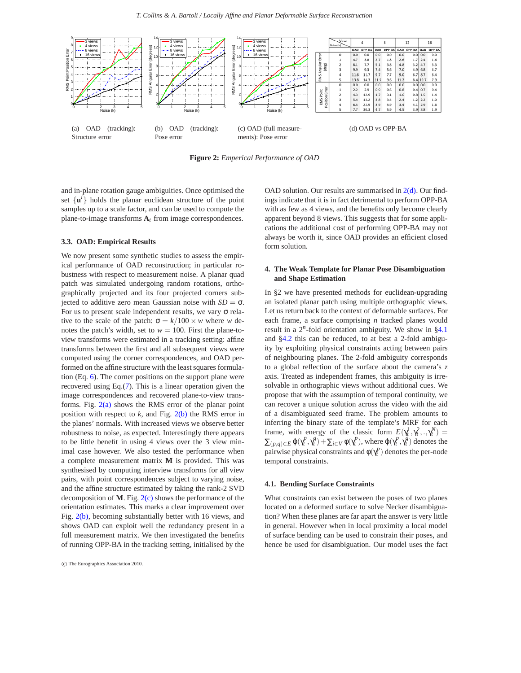<span id="page-4-3"></span>

<span id="page-4-5"></span><span id="page-4-4"></span>**Figure 2:** *Emperical Performance of OAD*

and in-plane rotation gauge ambiguities. Once optimised the set  $\{u^i\}$  holds the planar euclidean structure of the point samples up to a scale factor, and can be used to compute the plane-to-image transforms **A***t* from image correspondences.

## <span id="page-4-0"></span>**3.3. OAD: Empirical Results**

We now present some synthetic studies to assess the empirical performance of OAD reconstruction; in particular robustness with respect to measurement noise. A planar quad patch was simulated undergoing random rotations, orthographically projected and its four projected corners subjected to additive zero mean Gaussian noise with  $SD = σ$ . For us to present scale independent results, we vary σ relative to the scale of the patch:  $\sigma = k/100 \times w$  where *w* denotes the patch's width, set to  $w = 100$ . First the plane-toview transforms were estimated in a tracking setting: affine transforms between the first and all subsequent views were computed using the corner correspondences, and OAD performed on the affine structure with the least squares formulation (Eq. [6\)](#page-3-2). The corner positions on the support plane were recovered using Eq.[\(7\)](#page-3-3). This is a linear operation given the image correspondences and recovered plane-to-view transforms. Fig.  $2(a)$  shows the RMS error of the planar point position with respect to  $k$ , and Fig.  $2(b)$  the RMS error in the planes' normals. With increased views we observe better robustness to noise, as expected. Interestingly there appears to be little benefit in using 4 views over the 3 view minimal case however. We also tested the performance when a complete measurement matrix **M** is provided. This was synthesised by computing interview transforms for all view pairs, with point correspondences subject to varying noise, and the affine structure estimated by taking the rank-2 SVD decomposition of **M**. Fig. [2\(c\)](#page-4-5) shows the performance of the orientation estimates. This marks a clear improvement over Fig. [2\(b\),](#page-4-4) becoming substantially better with 16 views, and shows OAD can exploit well the redundancy present in a full measurement matrix. We then investigated the benefits of running OPP-BA in the tracking setting, initialised by the

c The Eurographics Association 2010.

<span id="page-4-6"></span>OAD solution. Our results are summarised in  $2(d)$ . Our findings indicate that it is in fact detrimental to perform OPP-BA with as few as 4 views, and the benefits only become clearly apparent beyond 8 views. This suggests that for some applications the additional cost of performing OPP-BA may not always be worth it, since OAD provides an efficient closed form solution.

## <span id="page-4-1"></span>**4. The Weak Template for Planar Pose Disambiguation and Shape Estimation**

In §2 we have presented methods for euclidean-upgrading an isolated planar patch using multiple orthographic views. Let us return back to the context of deformable surfaces. For each frame, a surface comprising *n* tracked planes would result in a 2<sup>n</sup>-fold orientation ambiguity. We show in [§4.1](#page-4-2) and [§4.2](#page-5-0) this can be reduced, to at best a 2-fold ambiguity by exploiting physical constraints acting between pairs of neighbouring planes. The 2-fold ambiguity corresponds to a global reflection of the surface about the camera's *z* axis. Treated as independent frames, this ambiguity is irresolvable in orthographic views without additional cues. We propose that with the assumption of temporal continuity, we can recover a unique solution across the video with the aid of a disambiguated seed frame. The problem amounts to inferring the binary state of the template's MRF for each frame, with energy of the classic form  $E(\gamma_t^1, \gamma_t^2, \ldots, \gamma_t^N) =$  $\sum_{(p,q)\in E} \varphi(\gamma_t^p, \gamma_t^q) + \sum_{i\in V} \varphi(\gamma_t^p)$ , where  $\varphi(\gamma_t^p, \gamma_t^q)$  denotes the pairwise physical constraints and  $\phi(\gamma_t^p)$  denotes the per-node temporal constraints.

## <span id="page-4-2"></span>**4.1. Bending Surface Constraints**

What constraints can exist between the poses of two planes located on a deformed surface to solve Necker disambiguation? When these planes are far apart the answer is very little in general. However when in local proximity a local model of surface bending can be used to constrain their poses, and hence be used for disambiguation. Our model uses the fact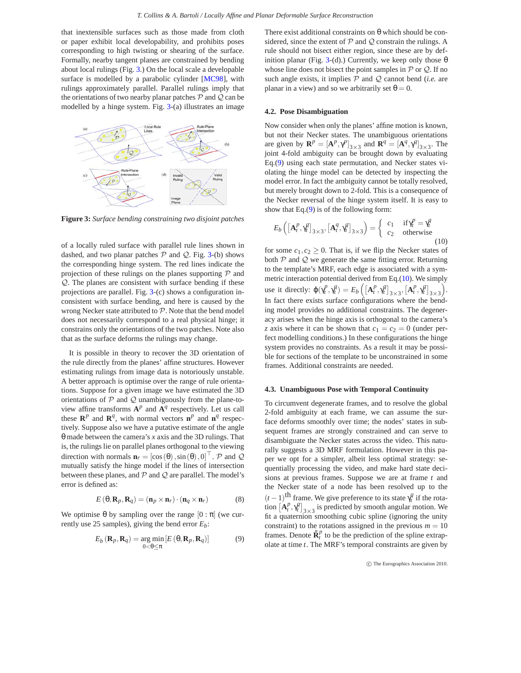<span id="page-5-5"></span>that inextensible surfaces such as those made from cloth or paper exhibit local developability, and prohibits poses corresponding to high twisting or shearing of the surface. Formally, nearby tangent planes are constrained by bending about local rulings (Fig. [3.](#page-5-2)) On the local scale a developable surface is modelled by a parabolic cylinder [\[MC98\]](#page-7-12), with rulings approximately parallel. Parallel rulings imply that the orientations of two nearby planar patches  $P$  and  $Q$  can be modelled by a hinge system. Fig. [3-](#page-5-2)(a) illustrates an image



<span id="page-5-2"></span>**Figure 3:** *Surface bending constraining two disjoint patches*

of a locally ruled surface with parallel rule lines shown in dashed, and two planar patches  $P$  and  $Q$ . Fig. [3-](#page-5-2)(b) shows the corresponding hinge system. The red lines indicate the projection of these rulings on the planes supporting  $P$  and Q. The planes are consistent with surface bending if these projections are parallel. Fig. [3-](#page-5-2)(c) shows a configuration inconsistent with surface bending, and here is caused by the wrong Necker state attributed to  $P$ . Note that the bend model does not necessarily correspond to a real physical hinge; it constrains only the orientations of the two patches. Note also that as the surface deforms the rulings may change.

It is possible in theory to recover the 3D orientation of the rule directly from the planes' affine structures. However estimating rulings from image data is notoriously unstable. A better approach is optimise over the range of rule orientations. Suppose for a given image we have estimated the 3D orientations of  $P$  and  $Q$  unambiguously from the plane-toview affine transforms  $A^p$  and  $A^q$  respectively. Let us call these  $\mathbb{R}^p$  and  $\mathbb{R}^q$ , with normal vectors  $\mathbf{n}^p$  and  $\mathbf{n}^q$  respectively. Suppose also we have a putative estimate of the angle θ made between the camera's *x* axis and the 3D rulings. That is, the rulings lie on parallel planes orthogonal to the viewing direction with normals  $\mathbf{n}_r = [\cos(\theta), \sin(\theta), 0]^\top$ . P and Q mutually satisfy the hinge model if the lines of intersection between these planes, and  $P$  and  $Q$  are parallel. The model's error is defined as:

$$
E(\theta, \mathbf{R}_p, \mathbf{R}_q) = (\mathbf{n}_p \times \mathbf{n}_r) \cdot (\mathbf{n}_q \times \mathbf{n}_r)
$$
 (8)

We optimise  $\theta$  by sampling over the range  $[0 : \pi]$  (we currently use 25 samples), giving the bend error  $E_b$ :

<span id="page-5-3"></span>
$$
E_b(\mathbf{R}_p, \mathbf{R}_q) = \underset{0 < \theta \le \pi}{\arg \min} \left[ E(\theta, \mathbf{R}_p, \mathbf{R}_q) \right] \tag{9}
$$

There exist additional constraints on  $\theta$  which should be considered, since the extent of  $P$  and  $Q$  constrain the rulings. A rule should not bisect either region, since these are by def-inition planar (Fig. [3-](#page-5-2)(d).) Currently, we keep only those  $\theta$ whose line does not bisect the point samples in  $P$  or  $Q$ . If no such angle exists, it implies  $P$  and  $Q$  cannot bend *(i.e.* are planar in a view) and so we arbitrarily set  $\theta = 0$ .

## <span id="page-5-0"></span>**4.2. Pose Disambiguation**

Now consider when only the planes' affine motion is known, but not their Necker states. The unambiguous orientations are given by  $\mathbf{R}^p = [\mathbf{A}^p, \gamma^p]_{3 \times 3}$  and  $\mathbf{R}^q = [\mathbf{A}^q, \gamma^q]_{3 \times 3}$ . The joint 4-fold ambiguity can be brought down by evaluating Eq.[\(9\)](#page-5-3) using each state permutation, and Necker states violating the hinge model can be detected by inspecting the model error. In fact the ambiguity cannot be totally resolved, but merely brought down to 2-fold. This is a consequence of the Necker reversal of the hinge system itself. It is easy to show that Eq.[\(9\)](#page-5-3) is of the following form:

<span id="page-5-4"></span>
$$
E_b\left(\left[\mathbf{A}_t^p, \gamma_t^q\right]_{3\times 3}, \left[\mathbf{A}_t^q, \gamma_t^q\right]_{3\times 3}\right) = \begin{cases} c_1 & \text{if } \gamma_t^p = \gamma_t^q \\ c_2 & \text{otherwise} \end{cases} \tag{10}
$$

for some  $c_1, c_2 \geq 0$ . That is, if we flip the Necker states of both  $P$  and  $Q$  we generate the same fitting error. Returning to the template's MRF, each edge is associated with a symmetric interaction potential derived from Eq.[\(10\)](#page-5-4). We simply use it directly:  $\varphi(\gamma_t^p, \gamma_t^q) = E_b\left(\left[\mathbf{A}_t^p, \gamma_t^q\right]_{3\times 3}, \left[\mathbf{A}_t^p, \gamma_t^q\right]_{3\times 3}\right)$ . In fact there exists surface configurations where the bending model provides no additional constraints. The degeneracy arises when the hinge axis is orthogonal to the camera's *z* axis where it can be shown that  $c_1 = c_2 = 0$  (under perfect modelling conditions.) In these configurations the hinge system provides no constraints. As a result it may be possible for sections of the template to be unconstrained in some frames. Additional constraints are needed.

## <span id="page-5-1"></span>**4.3. Unambiguous Pose with Temporal Continuity**

To circumvent degenerate frames, and to resolve the global 2-fold ambiguity at each frame, we can assume the surface deforms smoothly over time; the nodes' states in subsequent frames are strongly constrained and can serve to disambiguate the Necker states across the video. This naturally suggests a 3D MRF formulation. However in this paper we opt for a simpler, albeit less optimal strategy: sequentially processing the video, and make hard state decisions at previous frames. Suppose we are at frame *t* and the Necker state of a node has been resolved up to the  $(t-1)$ <sup>th</sup> frame. We give preference to its state  $\gamma_t^q$  if the rotation  $\left[{\bf A}_t^p, {\bf \gamma}_t^q\right]_{3\times 3}$  is predicted by smooth angular motion. We fit a quaternion smoothing cubic spline (ignoring the unity constraint) to the rotations assigned in the previous  $m = 10$ frames. Denote  $\tilde{\mathbf{R}}_t^p$  to be the prediction of the spline extrapolate at time *t*. The MRF's temporal constraints are given by

c The Eurographics Association 2010.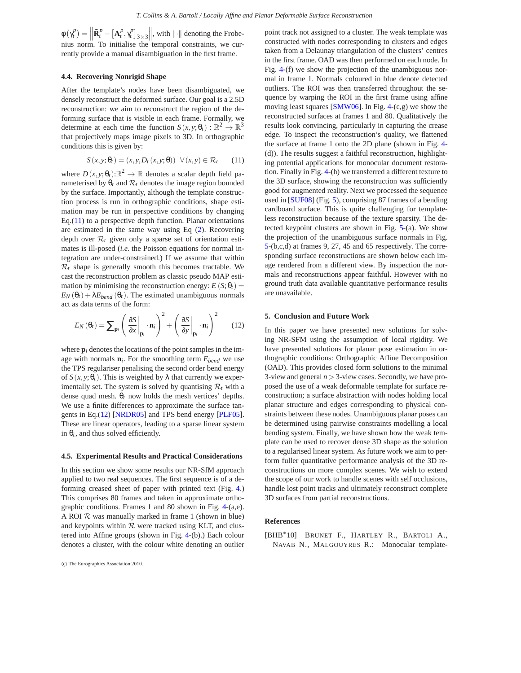<span id="page-6-6"></span> $\phi(\gamma_t^p) = \left\| \tilde{\mathbf{R}}_t^p - \left[ \mathbf{A}_t^p, \gamma_t^p \right]_{3 \times 3} \right\|$ , with  $\left\| \cdot \right\|$  denoting the Frobenius norm. To initialise the temporal constraints, we currently provide a manual disambiguation in the first frame.

## <span id="page-6-1"></span>**4.4. Recovering Nonrigid Shape**

After the template's nodes have been disambiguated, we densely reconstruct the deformed surface. Our goal is a 2.5D reconstruction: we aim to reconstruct the region of the deforming surface that is visible in each frame. Formally, we determine at each time the function  $S(x, y; \theta_t) : \mathbb{R}^2 \to \mathbb{R}^3$ that projectively maps image pixels to 3D. In orthographic conditions this is given by:

<span id="page-6-4"></span>
$$
S(x, y; \theta_t) = (x, y, D_t(x, y; \theta)) \quad \forall (x, y) \in \mathcal{R}_t \tag{11}
$$

where  $D(x, y; \theta_t): \mathbb{R}^2 \to \mathbb{R}$  denotes a scalar depth field parameterised by  $\theta_t$  and  $\mathcal{R}_t$  denotes the image region bounded by the surface. Importantly, although the template construction process is run in orthographic conditions, shape estimation may be run in perspective conditions by changing Eq. $(11)$  to a perspective depth function. Planar orientations are estimated in the same way using Eq [\(2\)](#page-2-1). Recovering depth over  $\mathcal{R}_t$  given only a sparse set of orientation estimates is ill-posed (*i.e.* the Poisson equations for normal integration are under-constrained.) If we assume that within  $\mathcal{R}_t$  shape is generally smooth this becomes tractable. We cast the reconstruction problem as classic pseudo MAP estimation by minimising the reconstruction energy:  $E(S; \theta_t)$  =  $E_N(\theta_t) + \lambda E_{bend}(\theta_t)$ . The estimated unambiguous normals act as data terms of the form:

<span id="page-6-5"></span>
$$
E_N(\theta_t) = \sum_{\mathbf{p}_i} \left( \left. \frac{\partial S}{\partial x} \right|_{\mathbf{p}_i} \cdot \mathbf{n}_i \right)^2 + \left( \left. \frac{\partial S}{\partial y} \right|_{\mathbf{p}_i} \cdot \mathbf{n}_i \right)^2 \tag{12}
$$

where  $\mathbf{p}_i$  denotes the locations of the point samples in the image with normals **n***<sup>i</sup>* . For the smoothing term *Ebend* we use the TPS regulariser penalising the second order bend energy of  $S(x, y; \theta_t)$ . This is weighted by  $\lambda$  that currently we experimentally set. The system is solved by quantising  $\mathcal{R}_t$  with a dense quad mesh.  $\theta_t$  now holds the mesh vertices' depths. We use a finite differences to approximate the surface tangents in Eq.[\(12\)](#page-6-5) [\[NRDR05\]](#page-7-13) and TPS bend energy [\[PLF05\]](#page-7-14). These are linear operators, leading to a sparse linear system in  $\theta_t$ , and thus solved efficiently.

#### <span id="page-6-2"></span>**4.5. Experimental Results and Practical Considerations**

In this section we show some results our NR-SfM approach applied to two real sequences. The first sequence is of a deforming creased sheet of paper with printed text (Fig. [4.](#page-7-15)) This comprises 80 frames and taken in approximate orthographic conditions. Frames 1 and 80 shown in Fig. [4-](#page-7-15)(a,e). A ROI  $R$  was manually marked in frame 1 (shown in blue) and keypoints within  $R$  were tracked using KLT, and clustered into Affine groups (shown in Fig. [4-](#page-7-15)(b).) Each colour denotes a cluster, with the colour white denoting an outlier

c The Eurographics Association 2010.

point track not assigned to a cluster. The weak template was constructed with nodes corresponding to clusters and edges taken from a Delaunay triangulation of the clusters' centres in the first frame. OAD was then performed on each node. In Fig. [4-](#page-7-15)(f) we show the projection of the unambiguous normal in frame 1. Normals coloured in blue denote detected outliers. The ROI was then transferred throughout the sequence by warping the ROI in the first frame using affine moving least squares [\[SMW06\]](#page-7-16). In Fig. [4-](#page-7-15)(c,g) we show the reconstructed surfaces at frames 1 and 80. Qualitatively the results look convincing, particularly in capturing the crease edge. To inspect the reconstruction's quality, we flattened the surface at frame 1 onto the 2D plane (shown in Fig. [4-](#page-7-15) (d)). The results suggest a faithful reconstruction, highlighting potential applications for monocular document restoration. Finally in Fig. [4-](#page-7-15)(h) we transferred a different texture to the 3D surface, showing the reconstruction was sufficiently good for augmented reality. Next we processed the sequence used in [\[SUF08\]](#page-7-7) (Fig. [5\)](#page-7-17), comprising 87 frames of a bending cardboard surface. This is quite challenging for templateless reconstruction because of the texture sparsity. The detected keypoint clusters are shown in Fig. [5-](#page-7-17)(a). We show the projection of the unambiguous surface normals in Fig. [5-](#page-7-17)(b,c,d) at frames 9, 27, 45 and 65 respectively. The corresponding surface reconstructions are shown below each image rendered from a different view. By inspection the normals and reconstructions appear faithful. However with no ground truth data available quantitative performance results are unavailable.

#### <span id="page-6-3"></span>**5. Conclusion and Future Work**

In this paper we have presented new solutions for solving NR-SFM using the assumption of local rigidity. We have presented solutions for planar pose estimation in orthographic conditions: Orthographic Affine Decomposition (OAD). This provides closed form solutions to the minimal 3-view and general  $n > 3$ -view cases. Secondly, we have proposed the use of a weak deformable template for surface reconstruction; a surface abstraction with nodes holding local planar structure and edges corresponding to physical constraints between these nodes. Unambiguous planar poses can be determined using pairwise constraints modelling a local bending system. Finally, we have shown how the weak template can be used to recover dense 3D shape as the solution to a regularised linear system. As future work we aim to perform fuller quantitative performance analysis of the 3D reconstructions on more complex scenes. We wish to extend the scope of our work to handle scenes with self occlusions, handle lost point tracks and ultimately reconstruct complete 3D surfaces from partial reconstructions.

#### **References**

<span id="page-6-0"></span>[BHB<sup>∗</sup> 10] BRUNET F., HARTLEY R., BARTOLI A., NAVAB N., MALGOUYRES R.: Monocular template